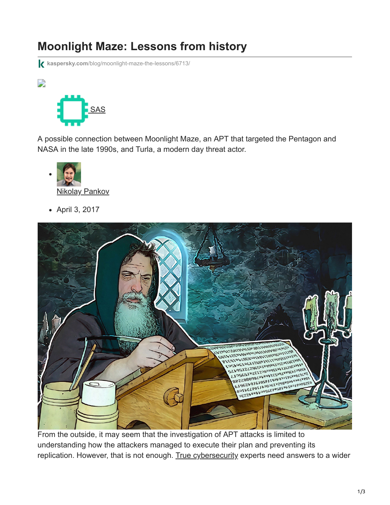## **Moonlight Maze: Lessons from history**

**kaspersky.com**[/blog/moonlight-maze-the-lessons/6713/](https://www.kaspersky.com/blog/moonlight-maze-the-lessons/6713/)



 $\overline{\phantom{a}}$ 

A possible connection between Moonlight Maze, an APT that targeted the Pentagon and NASA in the late 1990s, and Turla, a modern day threat actor.



April 3, 2017



From the outside, it may seem that the investigation of APT attacks is limited to understanding how the attackers managed to execute their plan and preventing its replication. However, that is not enough. [True cybersecurity](https://www.kaspersky.com/true-cybersecurity?redef=1&reseller=gl_truecs_acq_ona_smm__onl_b2b_blog_ban_______) experts need answers to a wider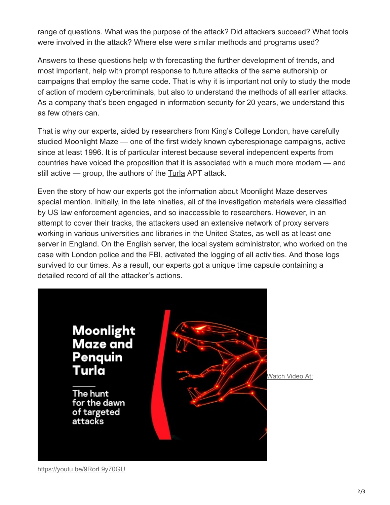range of questions. What was the purpose of the attack? Did attackers succeed? What tools were involved in the attack? Where else were similar methods and programs used?

Answers to these questions help with forecasting the further development of trends, and most important, help with prompt response to future attacks of the same authorship or campaigns that employ the same code. That is why it is important not only to study the mode of action of modern cybercriminals, but also to understand the methods of all earlier attacks. As a company that's been engaged in information security for 20 years, we understand this as few others can.

That is why our experts, aided by researchers from King's College London, have carefully studied Moonlight Maze — one of the first widely known cyberespionage campaigns, active since at least 1996. It is of particular interest because several independent experts from countries have voiced the proposition that it is associated with a much more modern — and still active — group, the authors of the [Turla](https://securelist.com/analysis/publications/65545/the-epic-turla-operation/) APT attack.

Even the story of how our experts got the information about Moonlight Maze deserves special mention. Initially, in the late nineties, all of the investigation materials were classified by US law enforcement agencies, and so inaccessible to researchers. However, in an attempt to cover their tracks, the attackers used an extensive network of proxy servers working in various universities and libraries in the United States, as well as at least one server in England. On the English server, the local system administrator, who worked on the case with London police and the FBI, activated the logging of all activities. And those logs survived to our times. As a result, our experts got a unique time capsule containing a detailed record of all the attacker's actions.



Watch Video At: